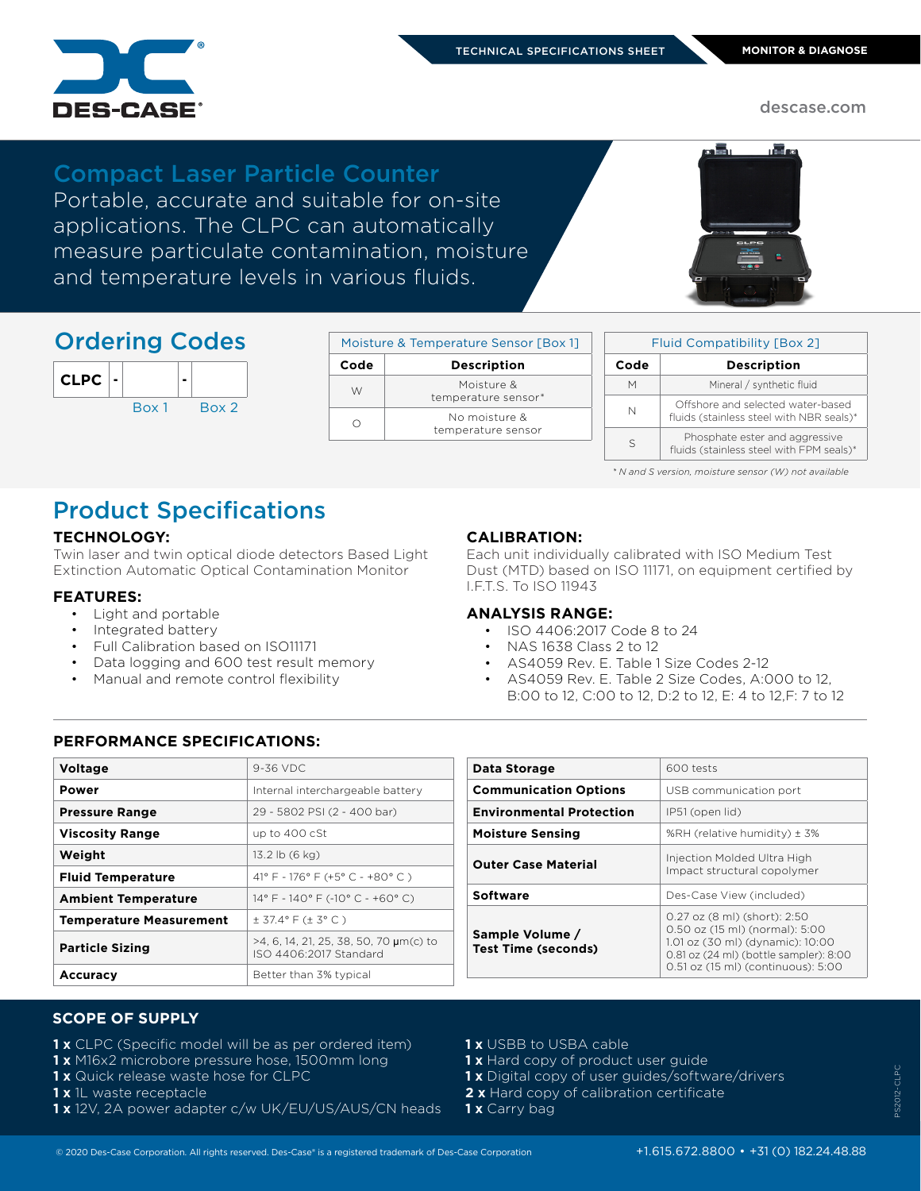

descase.com

### Compact Laser Particle Counter

Portable, accurate and suitable for on-site applications. The CLPC can automatically measure particulate contamination, moisture and temperature levels in various fluids.



## Ordering Codes

| <b>CLPC</b> | $\blacksquare$ |       |       |
|-------------|----------------|-------|-------|
|             |                | Box 1 | Box 2 |

| Moisture & Temperature Sensor [Box 1] |                                     |  |  |
|---------------------------------------|-------------------------------------|--|--|
| Code                                  | <b>Description</b>                  |  |  |
| W                                     | Moisture &<br>temperature sensor*   |  |  |
|                                       | No moisture &<br>temperature sensor |  |  |

| <b>Fluid Compatibility [Box 2]</b> |                                                                               |  |  |  |
|------------------------------------|-------------------------------------------------------------------------------|--|--|--|
| Code                               | <b>Description</b>                                                            |  |  |  |
| М                                  | Mineral / synthetic fluid                                                     |  |  |  |
| Ν                                  | Offshore and selected water-based<br>fluids (stainless steel with NBR seals)* |  |  |  |
| S                                  | Phosphate ester and aggressive<br>fluids (stainless steel with FPM seals)*    |  |  |  |

 *\* N and S version, moisture sensor (W) not available*

# Product Specifications

#### **TECHNOLOGY:**

Twin laser and twin optical diode detectors Based Light Extinction Automatic Optical Contamination Monitor

#### **FEATURES:**

- Light and portable
- Integrated battery
- Full Calibration based on ISO11171
- Data logging and 600 test result memory
- Manual and remote control flexibility

#### **CALIBRATION:**

Each unit individually calibrated with ISO Medium Test Dust (MTD) based on ISO 11171, on equipment certified by I.F.T.S. To ISO 11943

#### **ANALYSIS RANGE:**

- ISO 4406:2017 Code 8 to 24
- NAS 1638 Class 2 to 12
- AS4059 Rev. E. Table 1 Size Codes 2-12
- AS4059 Rev. E. Table 2 Size Codes, A:000 to 12, B:00 to 12, C:00 to 12, D:2 to 12, E: 4 to 12,F: 7 to 12

#### **PERFORMANCE SPECIFICATIONS:**

| <b>Voltage</b>                 | $9-36$ VDC                                                       |
|--------------------------------|------------------------------------------------------------------|
| Power                          | Internal interchargeable battery                                 |
| <b>Pressure Range</b>          | 29 - 5802 PSI (2 - 400 bar)                                      |
| <b>Viscosity Range</b>         | up to 400 cSt                                                    |
| Weight                         | $13.2$ lb $(6$ kg)                                               |
| <b>Fluid Temperature</b>       | 41° F - 176° F (+5° C - +80° C)                                  |
| <b>Ambient Temperature</b>     | $14^{\circ}$ F - $140^{\circ}$ F (-10° C - +60° C)               |
| <b>Temperature Measurement</b> | $\pm$ 37.4° F ( $\pm$ 3° C)                                      |
| <b>Particle Sizing</b>         | >4, 6, 14, 21, 25, 38, 50, 70 µm(c) to<br>ISO 4406:2017 Standard |
| Accuracy                       | Better than 3% typical                                           |

| Data Storage                                  | 600 tests                                                                                                                                                                          |
|-----------------------------------------------|------------------------------------------------------------------------------------------------------------------------------------------------------------------------------------|
| <b>Communication Options</b>                  | USB communication port                                                                                                                                                             |
| <b>Environmental Protection</b>               | IP51 (open lid)                                                                                                                                                                    |
| <b>Moisture Sensing</b>                       | %RH (relative humidity) ± 3%                                                                                                                                                       |
| <b>Outer Case Material</b>                    | Injection Molded Ultra High<br>Impact structural copolymer                                                                                                                         |
| <b>Software</b>                               | Des-Case View (included)                                                                                                                                                           |
| Sample Volume /<br><b>Test Time (seconds)</b> | 0.27 oz (8 ml) (short): 2:50<br>0.50 oz (15 ml) (normal): 5:00<br>1.01 oz (30 ml) (dynamic): 10:00<br>0.81 oz (24 ml) (bottle sampler): 8:00<br>0.51 oz (15 ml) (continuous): 5:00 |
|                                               |                                                                                                                                                                                    |

#### **SCOPE OF SUPPLY**

- **1 x** CLPC (Specific model will be as per ordered item)
- **1 x** M16x2 microbore pressure hose, 1500mm long
- **1 x** Quick release waste hose for CLPC
- **1 x** 1L waste receptacle
- **1 x** 12V, 2A power adapter c/w UK/EU/US/AUS/CN heads
- **1 x** USBB to USBA cable
- 1 x Hard copy of product user guide
- **1 x** Digital copy of user guides/software/drivers
- **2 x** Hard copy of calibration certificate
- **1 x** Carry bag